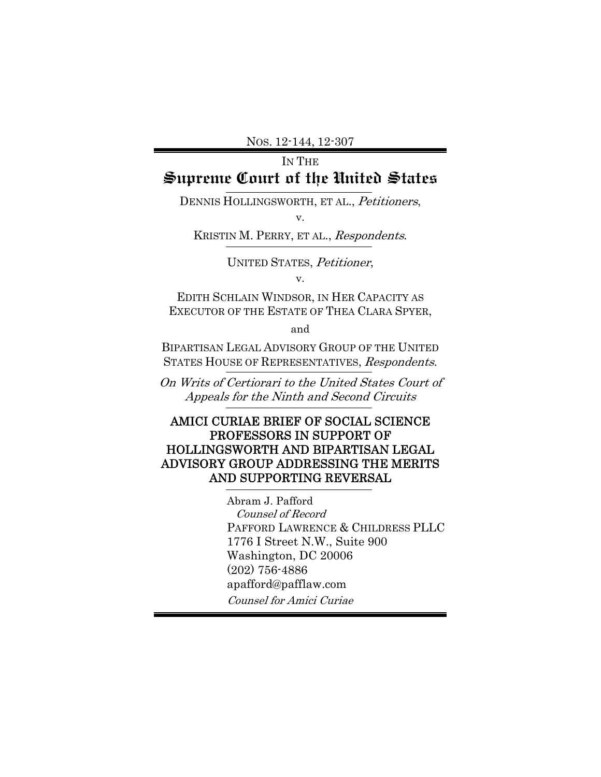# IN THE **Supreme Court of the United States**

DENNIS HOLLINGSWORTH, ET AL., Petitioners,

v.

KRISTIN M. PERRY, ET AL., Respondents.

UNITED STATES, Petitioner, v.

EDITH SCHLAIN WINDSOR, IN HER CAPACITY AS EXECUTOR OF THE ESTATE OF THEA CLARA SPYER,

and

BIPARTISAN LEGAL ADVISORY GROUP OF THE UNITED STATES HOUSE OF REPRESENTATIVES, Respondents.

On Writs of Certiorari to the United States Court of Appeals for the Ninth and Second Circuits

## AMICI CURIAE BRIEF OF SOCIAL SCIENCE PROFESSORS IN SUPPORT OF HOLLINGSWORTH AND BIPARTISAN LEGAL ADVISORY GROUP ADDRESSING THE MERITS AND SUPPORTING REVERSAL

 Abram J. Pafford Counsel of Record PAFFORD LAWRENCE & CHILDRESS PLLC 1776 I Street N.W., Suite 900 Washington, DC 20006 (202) 756-4886 apafford@pafflaw.com Counsel for Amici Curiae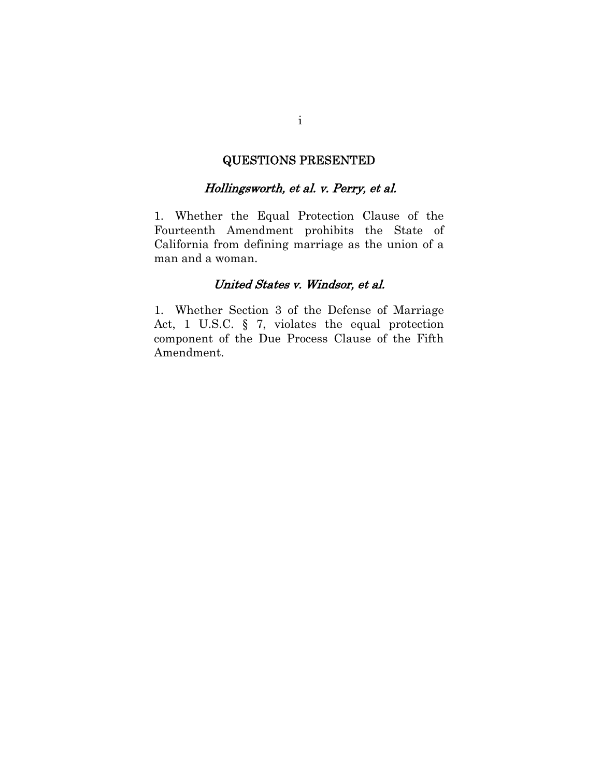## QUESTIONS PRESENTED

### Hollingsworth, et al. v. Perry, et al.

1. Whether the Equal Protection Clause of the Fourteenth Amendment prohibits the State of California from defining marriage as the union of a man and a woman.

### United States v. Windsor, et al.

1. Whether Section 3 of the Defense of Marriage Act, 1 U.S.C. § 7, violates the equal protection component of the Due Process Clause of the Fifth Amendment.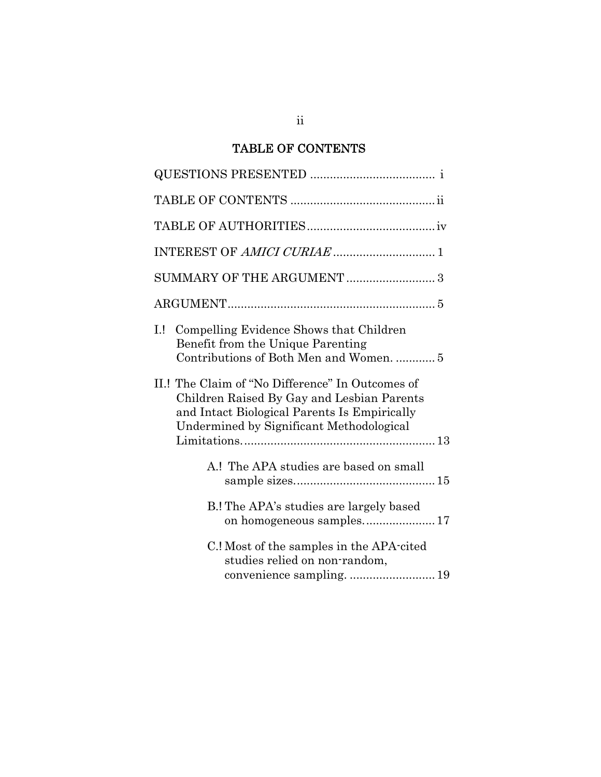# TABLE OF CONTENTS

| 1!<br>Compelling Evidence Shows that Children<br>Benefit from the Unique Parenting<br>Contributions of Both Men and Women.  5                                                              |
|--------------------------------------------------------------------------------------------------------------------------------------------------------------------------------------------|
| II.! The Claim of "No Difference" In Outcomes of<br>Children Raised By Gay and Lesbian Parents<br>and Intact Biological Parents Is Empirically<br>Undermined by Significant Methodological |
| A.! The APA studies are based on small                                                                                                                                                     |
| B.! The APA's studies are largely based<br>on homogeneous samples17                                                                                                                        |
| C.! Most of the samples in the APA-cited<br>studies relied on non-random,                                                                                                                  |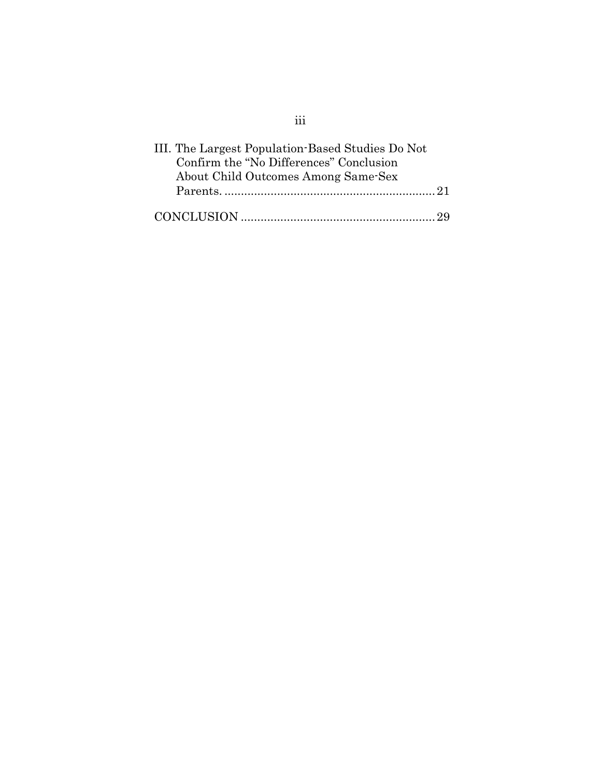| III. The Largest Population-Based Studies Do Not |
|--------------------------------------------------|
| Confirm the "No Differences" Conclusion          |
| About Child Outcomes Among Same-Sex              |
|                                                  |
|                                                  |

# iii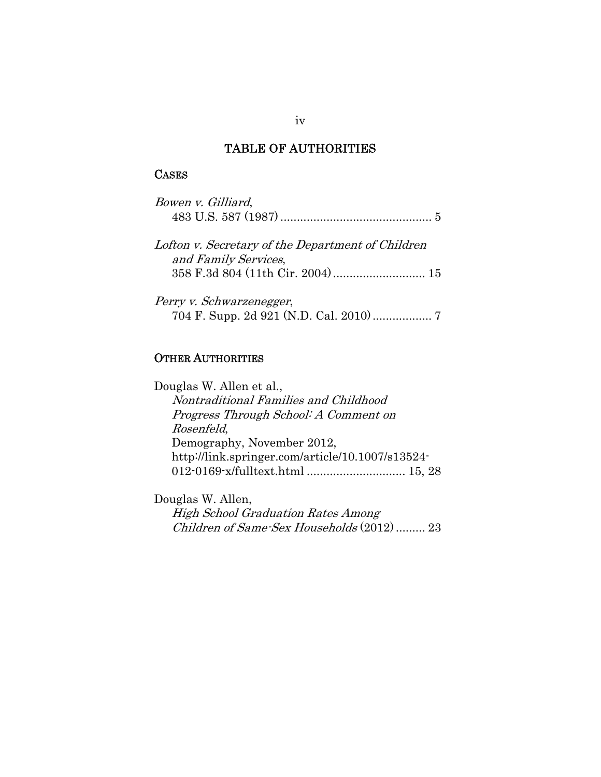## TABLE OF AUTHORITIES

# **CASES**

| Bowen v. Gilliard,                                |
|---------------------------------------------------|
| Lofton v. Secretary of the Department of Children |
| and Family Services,                              |
| Perry v. Schwarzenegger,                          |

## OTHER AUTHORITIES

| Douglas W. Allen et al.,                         |  |
|--------------------------------------------------|--|
| Nontraditional Families and Childhood            |  |
| Progress Through School: A Comment on            |  |
| Rosenfeld,                                       |  |
| Demography, November 2012,                       |  |
| http://link.springer.com/article/10.1007/s13524- |  |
| 012-0169-x/fulltext.html  15, 28                 |  |
|                                                  |  |

Douglas W. Allen, High School Graduation Rates Among Children of Same-Sex Households (2012) ......... 23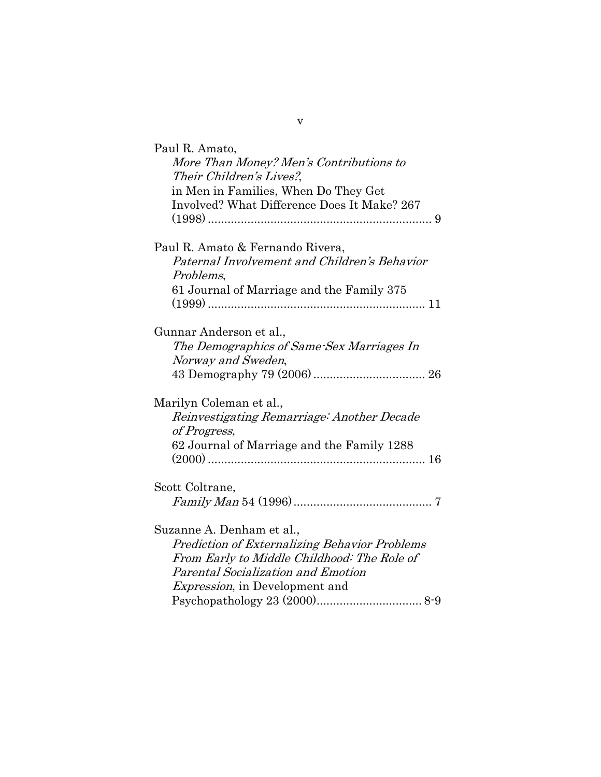| Paul R. Amato,<br>More Than Money? Men's Contributions to<br>Their Children's Lives?,<br>in Men in Families, When Do They Get<br>Involved? What Difference Does It Make? 267                                     |
|------------------------------------------------------------------------------------------------------------------------------------------------------------------------------------------------------------------|
| Paul R. Amato & Fernando Rivera,<br>Paternal Involvement and Children's Behavior<br>Problems,<br>61 Journal of Marriage and the Family 375                                                                       |
| Gunnar Anderson et al.,<br>The Demographics of Same-Sex Marriages In<br>Norway and Sweden,                                                                                                                       |
| Marilyn Coleman et al.,<br>Reinvestigating Remarriage: Another Decade<br>of Progress,<br>62 Journal of Marriage and the Family 1288                                                                              |
| Scott Coltrane,                                                                                                                                                                                                  |
| Suzanne A. Denham et al.,<br><b>Prediction of Externalizing Behavior Problems</b><br>From Early to Middle Childhood: The Role of<br>Parental Socialization and Emotion<br><i>Expression</i> , in Development and |

v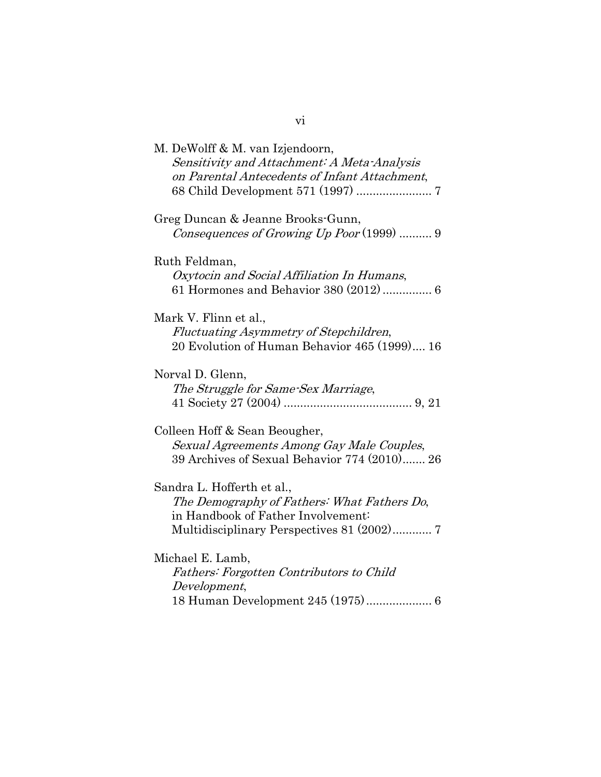| M. DeWolff & M. van Izjendoorn,<br>Sensitivity and Attachment: A Meta-Analysis<br>on Parental Antecedents of Infant Attachment,                               |
|---------------------------------------------------------------------------------------------------------------------------------------------------------------|
| Greg Duncan & Jeanne Brooks-Gunn,<br>Consequences of Growing $Up$ Poor $(1999)$ 9                                                                             |
| Ruth Feldman,<br>Oxytocin and Social Affiliation In Humans,                                                                                                   |
| Mark V. Flinn et al.,<br>Fluctuating Asymmetry of Stepchildren,<br>20 Evolution of Human Behavior 465 (1999) 16                                               |
| Norval D. Glenn,<br>The Struggle for Same-Sex Marriage,                                                                                                       |
| Colleen Hoff & Sean Beougher,<br>Sexual Agreements Among Gay Male Couples,<br>39 Archives of Sexual Behavior 774 (2010) 26                                    |
| Sandra L. Hofferth et al.,<br>The Demography of Fathers: What Fathers Do,<br>in Handbook of Father Involvement:<br>Multidisciplinary Perspectives 81 (2002) 7 |
| Michael E. Lamb,<br>Fathers: Forgotten Contributors to Child<br>Development,<br>18 Human Development 245 (1975) 6                                             |

vi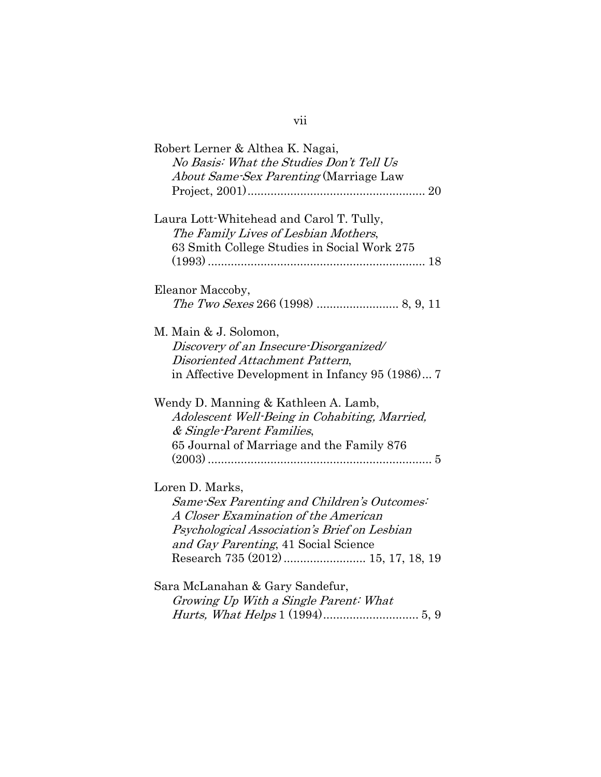| Robert Lerner & Althea K. Nagai,                |
|-------------------------------------------------|
| No Basis: What the Studies Don't Tell Us        |
| <i>About Same-Sex Parenting</i> (Marriage Law   |
|                                                 |
| Laura Lott-Whitehead and Carol T. Tully,        |
| The Family Lives of Lesbian Mothers,            |
| 63 Smith College Studies in Social Work 275     |
|                                                 |
| Eleanor Maccoby,                                |
|                                                 |
| M. Main & J. Solomon,                           |
| Discovery of an Insecure-Disorganized/          |
| Disoriented Attachment Pattern,                 |
| in Affective Development in Infancy 95 (1986) 7 |
| Wendy D. Manning & Kathleen A. Lamb,            |
| Adolescent Well-Being in Cohabiting, Married,   |
| & Single-Parent Families,                       |
| 65 Journal of Marriage and the Family 876       |
|                                                 |
| Loren D. Marks,                                 |
| Same-Sex Parenting and Children's Outcomes:     |
| A Closer Examination of the American            |
| Psychological Association's Brief on Lesbian    |
| and Gay Parenting, 41 Social Science            |
|                                                 |
| Sara McLanahan & Gary Sandefur,                 |
| Growing Up With a Single Parent: What           |
|                                                 |

# vii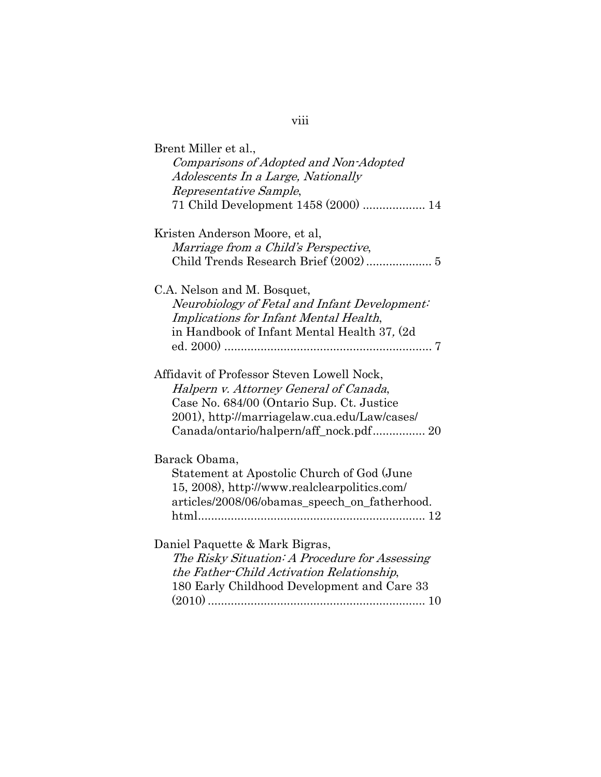| Brent Miller et al.,<br>Comparisons of Adopted and Non-Adopted<br>Adolescents In a Large, Nationally<br>Representative Sample,<br>71 Child Development 1458 (2000)  14                                                      |
|-----------------------------------------------------------------------------------------------------------------------------------------------------------------------------------------------------------------------------|
| Kristen Anderson Moore, et al,<br>Marriage from a Child's Perspective,                                                                                                                                                      |
| C.A. Nelson and M. Bosquet,<br>Neurobiology of Fetal and Infant Development:<br>Implications for Infant Mental Health,<br>in Handbook of Infant Mental Health 37, (2d)                                                      |
| Affidavit of Professor Steven Lowell Nock,<br>Halpern v. Attorney General of Canada,<br>Case No. 684/00 (Ontario Sup. Ct. Justice<br>2001), http://marriagelaw.cua.edu/Law/cases/<br>Canada/ontario/halpern/aff_nock.pdf 20 |
| Barack Obama,<br>Statement at Apostolic Church of God (June<br>15, 2008), http://www.realclearpolitics.com/<br>articles/2008/06/obamas_speech_on_fatherhood.                                                                |
| Daniel Paquette & Mark Bigras,<br>The Risky Situation: A Procedure for Assessing<br>the Father-Child Activation Relationship,<br>180 Early Childhood Development and Care 33                                                |

viii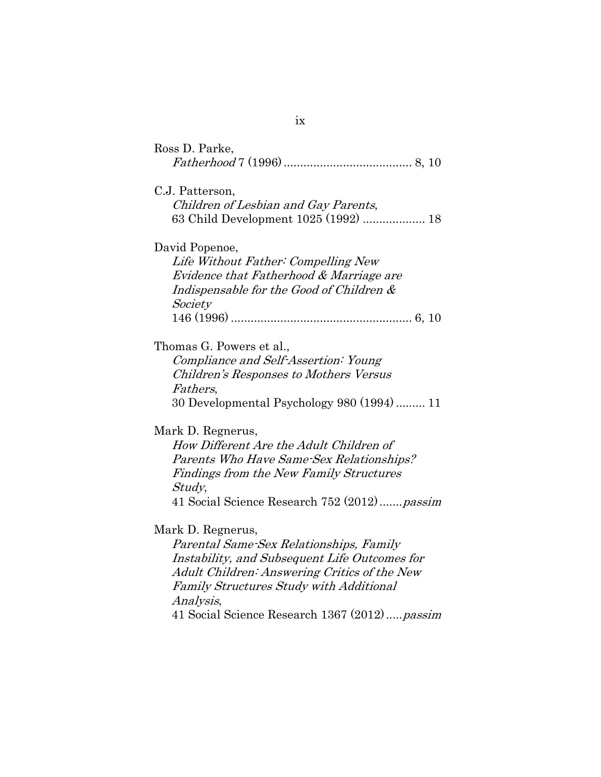| Ross D. Parke,                                                                                                                                                                                                                                                               |
|------------------------------------------------------------------------------------------------------------------------------------------------------------------------------------------------------------------------------------------------------------------------------|
| C.J. Patterson,<br>Children of Lesbian and Gay Parents,<br>63 Child Development 1025 (1992)  18                                                                                                                                                                              |
| David Popenoe,<br>Life Without Father: Compelling New<br><i>Evidence that Fatherhood &amp; Marriage are</i><br>Indispensable for the Good of Children &<br>Society                                                                                                           |
| Thomas G. Powers et al.,<br>Compliance and Self-Assertion: Young<br>Children's Responses to Mothers Versus<br><i>Fathers,</i><br>30 Developmental Psychology 980 (1994)  11                                                                                                  |
| Mark D. Regnerus,<br>How Different Are the Adult Children of<br>Parents Who Have Same-Sex Relationships?<br>Findings from the New Family Structures<br><i>Study</i> ,<br>41 Social Science Research 752 (2012) passim                                                        |
| Mark D. Regnerus,<br>Parental Same-Sex Relationships, Family<br>Instability, and Subsequent Life Outcomes for<br>Adult Children: Answering Critics of the New<br><b>Family Structures Study with Additional</b><br>Analysis,<br>41 Social Science Research 1367 (2012)passim |

ix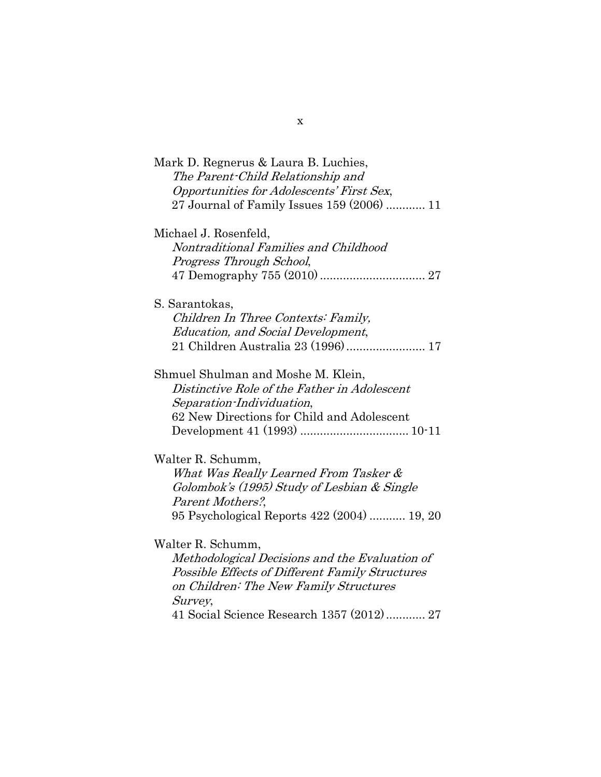| Mark D. Regnerus & Laura B. Luchies,<br>The Parent-Child Relationship and |
|---------------------------------------------------------------------------|
| Opportunities for Adolescents' First Sex,                                 |
| 27 Journal of Family Issues 159 (2006)  11                                |
| Michael J. Rosenfeld,                                                     |
| Nontraditional Families and Childhood                                     |
| Progress Through School,                                                  |
|                                                                           |
| S. Sarantokas,                                                            |
| Children In Three Contexts: Family,                                       |
| <b>Education, and Social Development,</b>                                 |
|                                                                           |
| Shmuel Shulman and Moshe M. Klein,                                        |
| Distinctive Role of the Father in Adolescent                              |
| Separation-Individuation,                                                 |
| 62 New Directions for Child and Adolescent                                |
|                                                                           |
| Walter R. Schumm,                                                         |
| What Was Really Learned From Tasker &                                     |
| Golombok's (1995) Study of Lesbian & Single                               |
| Parent Mothers?,                                                          |
| 95 Psychological Reports 422 (2004)  19, 20                               |
| Walter R. Schumm,                                                         |
| Methodological Decisions and the Evaluation of                            |
| <b>Possible Effects of Different Family Structures</b>                    |
| on Children: The New Family Structures                                    |
| Survey,                                                                   |
| 41 Social Science Research 1357 (2012) 27                                 |

x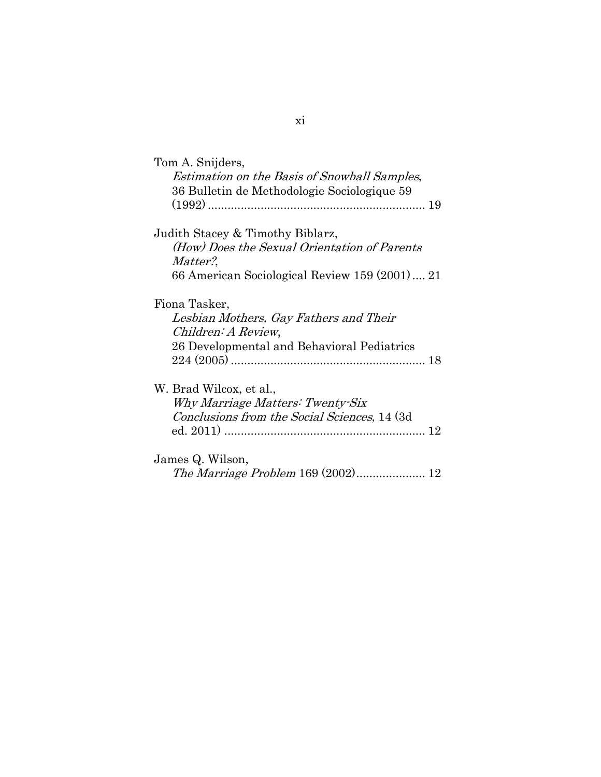xi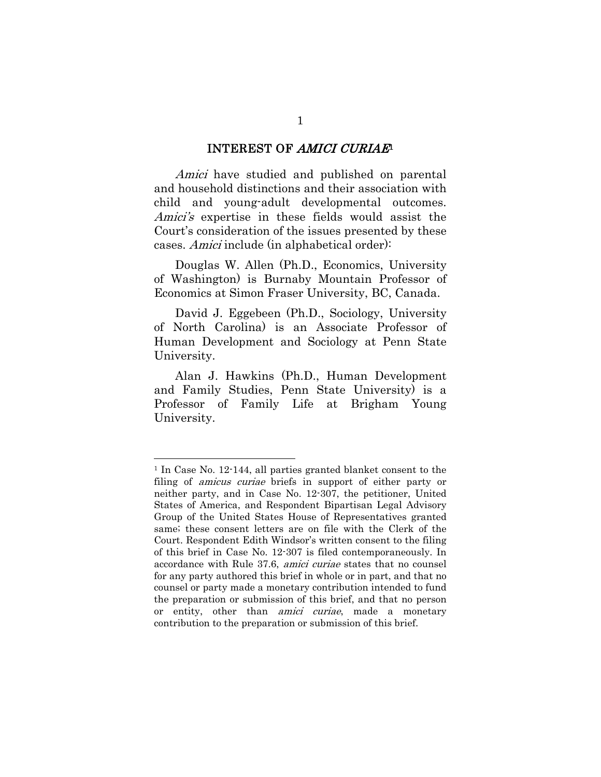#### INTEREST OF AMICI CURIAE<sup>1</sup>

Amici have studied and published on parental and household distinctions and their association with child and young-adult developmental outcomes. Amici's expertise in these fields would assist the Court's consideration of the issues presented by these cases. Amici include (in alphabetical order):

Douglas W. Allen (Ph.D., Economics, University of Washington) is Burnaby Mountain Professor of Economics at Simon Fraser University, BC, Canada.

David J. Eggebeen (Ph.D., Sociology, University of North Carolina) is an Associate Professor of Human Development and Sociology at Penn State University.

Alan J. Hawkins (Ph.D., Human Development and Family Studies, Penn State University) is a Professor of Family Life at Brigham Young University.

1

<sup>1</sup> In Case No. 12-144, all parties granted blanket consent to the filing of *amicus curiae* briefs in support of either party or neither party, and in Case No. 12-307, the petitioner, United States of America, and Respondent Bipartisan Legal Advisory Group of the United States House of Representatives granted same; these consent letters are on file with the Clerk of the Court. Respondent Edith Windsor's written consent to the filing of this brief in Case No. 12-307 is filed contemporaneously. In accordance with Rule 37.6, amici curiae states that no counsel for any party authored this brief in whole or in part, and that no counsel or party made a monetary contribution intended to fund the preparation or submission of this brief, and that no person or entity, other than *amici curiae*, made a monetary contribution to the preparation or submission of this brief.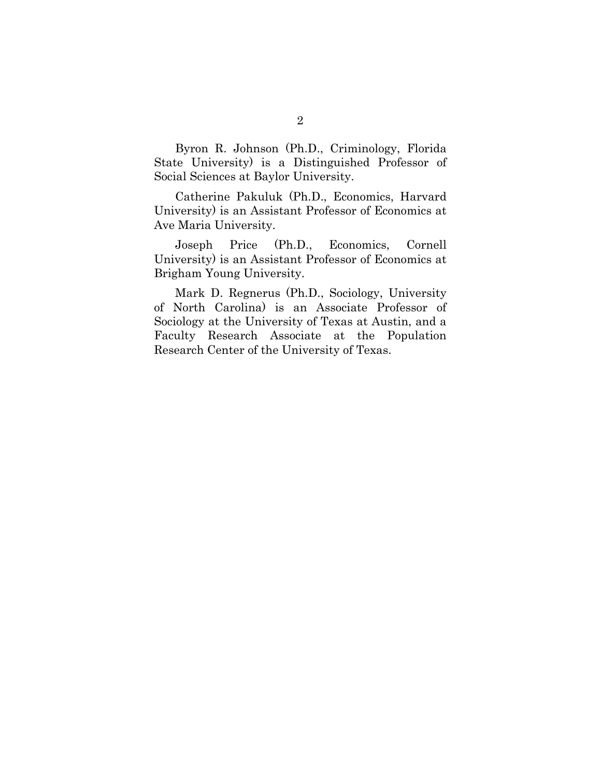Byron R. Johnson (Ph.D., Criminology, Florida State University) is a Distinguished Professor of Social Sciences at Baylor University.

Catherine Pakuluk (Ph.D., Economics, Harvard University) is an Assistant Professor of Economics at Ave Maria University.

Joseph Price (Ph.D., Economics, Cornell University) is an Assistant Professor of Economics at Brigham Young University.

Mark D. Regnerus (Ph.D., Sociology, University of North Carolina) is an Associate Professor of Sociology at the University of Texas at Austin, and a Faculty Research Associate at the Population Research Center of the University of Texas.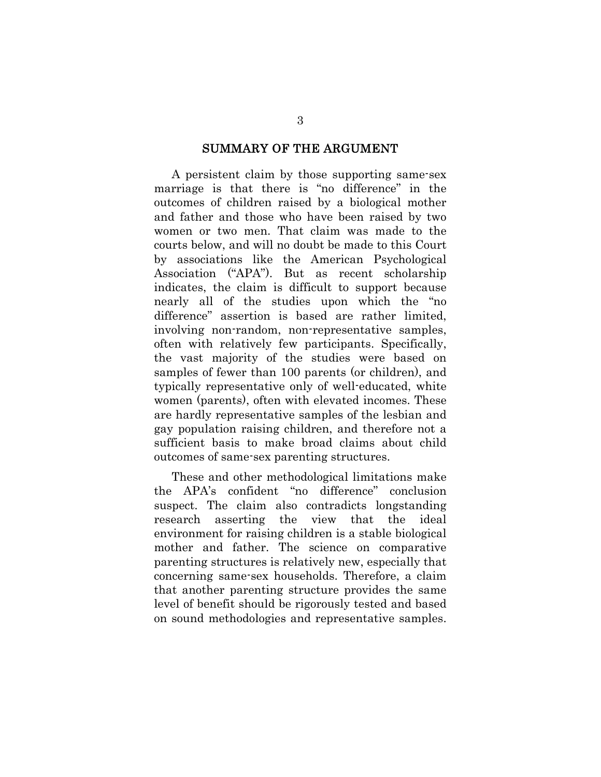#### SUMMARY OF THE ARGUMENT

A persistent claim by those supporting same-sex marriage is that there is "no difference" in the outcomes of children raised by a biological mother and father and those who have been raised by two women or two men. That claim was made to the courts below, and will no doubt be made to this Court by associations like the American Psychological Association ("APA"). But as recent scholarship indicates, the claim is difficult to support because nearly all of the studies upon which the "no difference" assertion is based are rather limited, involving non-random, non-representative samples, often with relatively few participants. Specifically, the vast majority of the studies were based on samples of fewer than 100 parents (or children), and typically representative only of well-educated, white women (parents), often with elevated incomes. These are hardly representative samples of the lesbian and gay population raising children, and therefore not a sufficient basis to make broad claims about child outcomes of same-sex parenting structures.

These and other methodological limitations make the APA's confident "no difference" conclusion suspect. The claim also contradicts longstanding research asserting the view that the ideal environment for raising children is a stable biological mother and father. The science on comparative parenting structures is relatively new, especially that concerning same-sex households. Therefore, a claim that another parenting structure provides the same level of benefit should be rigorously tested and based on sound methodologies and representative samples.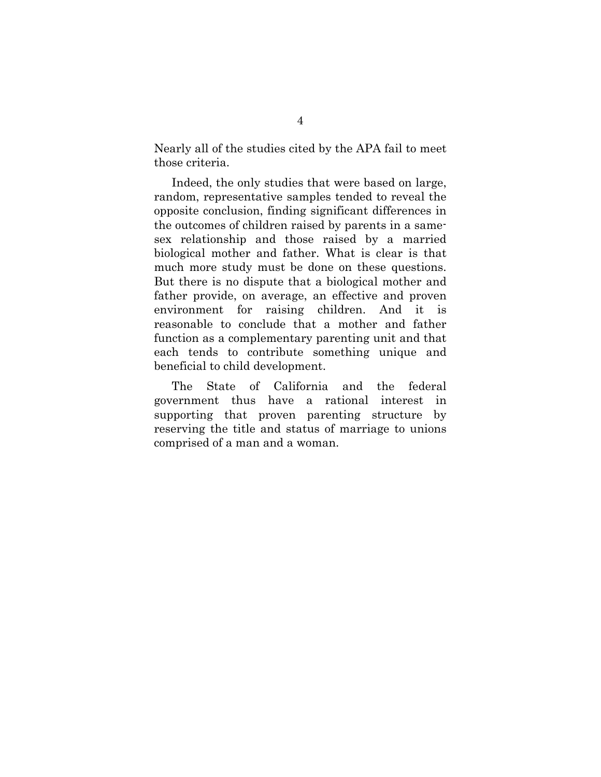Nearly all of the studies cited by the APA fail to meet those criteria.

Indeed, the only studies that were based on large, random, representative samples tended to reveal the opposite conclusion, finding significant differences in the outcomes of children raised by parents in a samesex relationship and those raised by a married biological mother and father. What is clear is that much more study must be done on these questions. But there is no dispute that a biological mother and father provide, on average, an effective and proven environment for raising children. And it is reasonable to conclude that a mother and father function as a complementary parenting unit and that each tends to contribute something unique and beneficial to child development.

The State of California and the federal government thus have a rational interest in supporting that proven parenting structure by reserving the title and status of marriage to unions comprised of a man and a woman.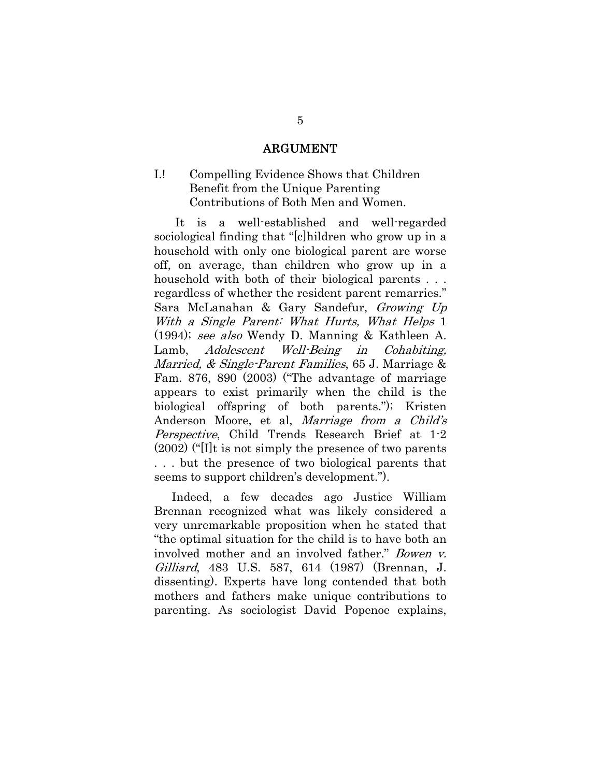#### ARGUMENT

## I.! Compelling Evidence Shows that Children Benefit from the Unique Parenting Contributions of Both Men and Women.

 It is a well-established and well-regarded sociological finding that "[c]hildren who grow up in a household with only one biological parent are worse off, on average, than children who grow up in a household with both of their biological parents . . . regardless of whether the resident parent remarries." Sara McLanahan & Gary Sandefur, Growing Up With a Single Parent: What Hurts, What Helps 1 (1994); see also Wendy D. Manning & Kathleen A. Lamb, Adolescent Well-Being in Cohabiting, Married, & Single-Parent Families, 65 J. Marriage & Fam. 876, 890 (2003) ("The advantage of marriage appears to exist primarily when the child is the biological offspring of both parents."); Kristen Anderson Moore, et al, Marriage from a Child's Perspective, Child Trends Research Brief at 1-2 (2002) ("[I]t is not simply the presence of two parents . . . but the presence of two biological parents that seems to support children's development.").

 Indeed, a few decades ago Justice William Brennan recognized what was likely considered a very unremarkable proposition when he stated that "the optimal situation for the child is to have both an involved mother and an involved father." Bowen v. Gilliard, 483 U.S. 587, 614 (1987) (Brennan, J. dissenting). Experts have long contended that both mothers and fathers make unique contributions to parenting. As sociologist David Popenoe explains,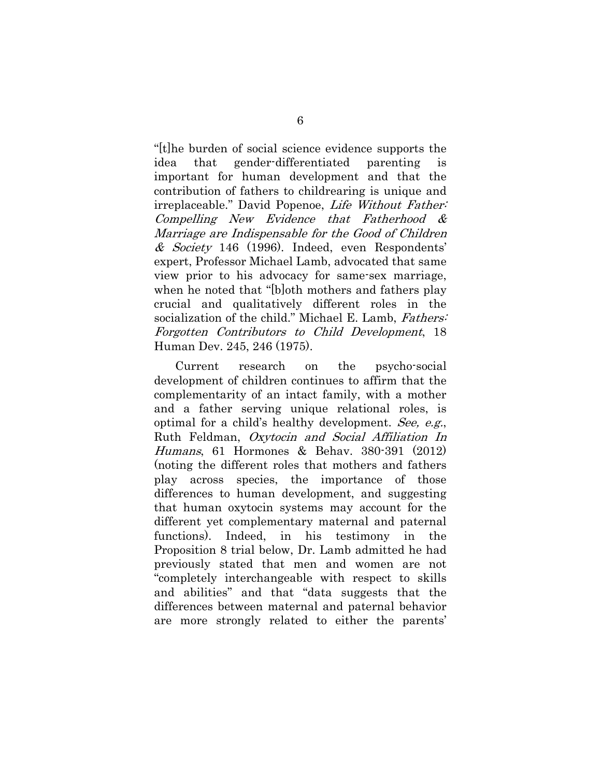"[t]he burden of social science evidence supports the idea that gender-differentiated parenting is important for human development and that the contribution of fathers to childrearing is unique and irreplaceable." David Popenoe, Life Without Father: Compelling New Evidence that Fatherhood & Marriage are Indispensable for the Good of Children & Society 146 (1996). Indeed, even Respondents' expert, Professor Michael Lamb, advocated that same view prior to his advocacy for same-sex marriage, when he noted that "[b]oth mothers and fathers play crucial and qualitatively different roles in the socialization of the child." Michael E. Lamb, Fathers: Forgotten Contributors to Child Development, 18 Human Dev. 245, 246 (1975).

 Current research on the psycho-social development of children continues to affirm that the complementarity of an intact family, with a mother and a father serving unique relational roles, is optimal for a child's healthy development. See, e.g., Ruth Feldman, Oxytocin and Social Affiliation In Humans, 61 Hormones & Behav. 380-391 (2012) (noting the different roles that mothers and fathers play across species, the importance of those differences to human development, and suggesting that human oxytocin systems may account for the different yet complementary maternal and paternal functions). Indeed, in his testimony in the Proposition 8 trial below, Dr. Lamb admitted he had previously stated that men and women are not "completely interchangeable with respect to skills and abilities" and that "data suggests that the differences between maternal and paternal behavior are more strongly related to either the parents'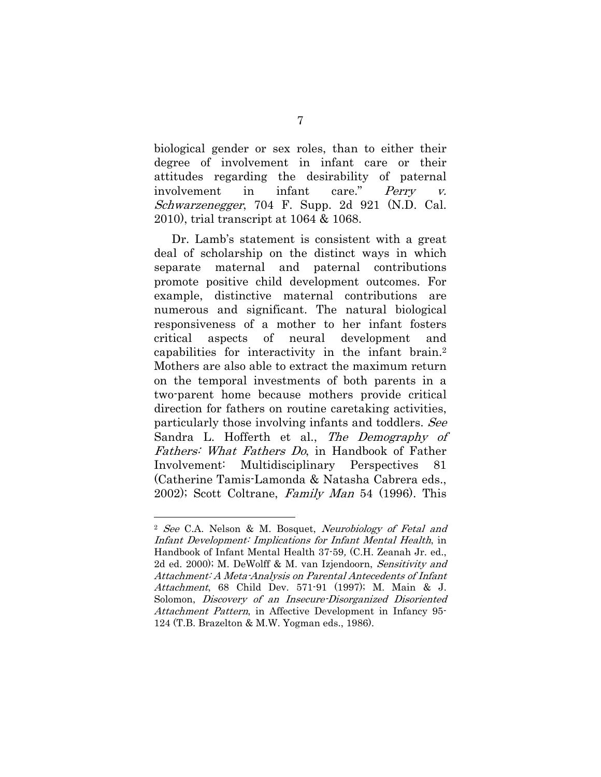biological gender or sex roles, than to either their degree of involvement in infant care or their attitudes regarding the desirability of paternal involvement in infant care." Perry v. Schwarzenegger, 704 F. Supp. 2d 921 (N.D. Cal. 2010), trial transcript at 1064 & 1068.

 Dr. Lamb's statement is consistent with a great deal of scholarship on the distinct ways in which separate maternal and paternal contributions promote positive child development outcomes. For example, distinctive maternal contributions are numerous and significant. The natural biological responsiveness of a mother to her infant fosters critical aspects of neural development and capabilities for interactivity in the infant brain.2 Mothers are also able to extract the maximum return on the temporal investments of both parents in a two-parent home because mothers provide critical direction for fathers on routine caretaking activities, particularly those involving infants and toddlers. See Sandra L. Hofferth et al., The Demography of Fathers: What Fathers Do, in Handbook of Father Involvement: Multidisciplinary Perspectives 81 (Catherine Tamis-Lamonda & Natasha Cabrera eds.,  $2002$ ; Scott Coltrane, *Family Man* 54 (1996). This

1

<sup>&</sup>lt;sup>2</sup> See C.A. Nelson & M. Bosquet, Neurobiology of Fetal and Infant Development: Implications for Infant Mental Health, in Handbook of Infant Mental Health 37-59, (C.H. Zeanah Jr. ed., 2d ed. 2000); M. DeWolff & M. van Izjendoorn, Sensitivity and Attachment: A Meta-Analysis on Parental Antecedents of Infant Attachment, 68 Child Dev. 571-91 (1997); M. Main & J. Solomon, Discovery of an Insecure-Disorganized Disoriented Attachment Pattern, in Affective Development in Infancy 95- 124 (T.B. Brazelton & M.W. Yogman eds., 1986).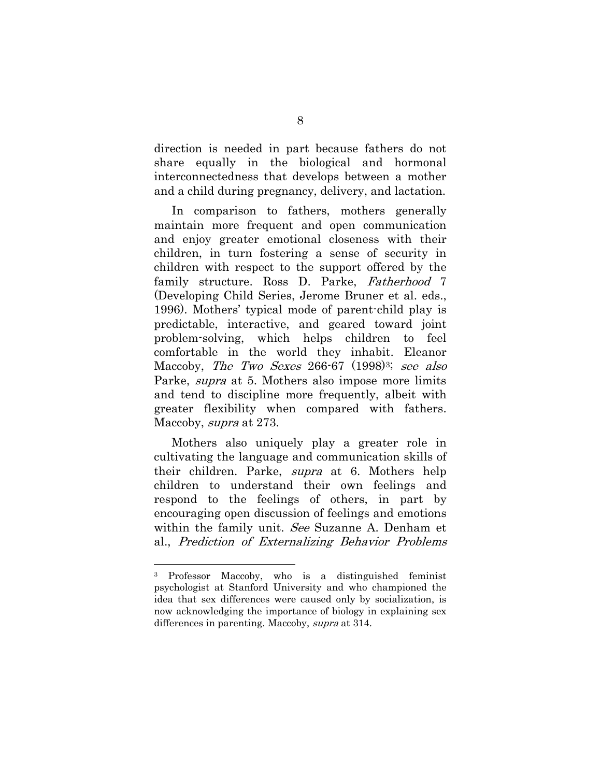direction is needed in part because fathers do not share equally in the biological and hormonal interconnectedness that develops between a mother and a child during pregnancy, delivery, and lactation.

 In comparison to fathers, mothers generally maintain more frequent and open communication and enjoy greater emotional closeness with their children, in turn fostering a sense of security in children with respect to the support offered by the family structure. Ross D. Parke, Fatherhood 7 (Developing Child Series, Jerome Bruner et al. eds., 1996). Mothers' typical mode of parent-child play is predictable, interactive, and geared toward joint problem-solving, which helps children to feel comfortable in the world they inhabit. Eleanor Maccoby, The Two Sexes 266-67 (1998)<sup>3;</sup> see also Parke, *supra* at 5. Mothers also impose more limits and tend to discipline more frequently, albeit with greater flexibility when compared with fathers. Maccoby, *supra* at 273.

 Mothers also uniquely play a greater role in cultivating the language and communication skills of their children. Parke, supra at 6. Mothers help children to understand their own feelings and respond to the feelings of others, in part by encouraging open discussion of feelings and emotions within the family unit. See Suzanne A. Denham et al., Prediction of Externalizing Behavior Problems

1

<sup>3</sup> Professor Maccoby, who is a distinguished feminist psychologist at Stanford University and who championed the idea that sex differences were caused only by socialization, is now acknowledging the importance of biology in explaining sex differences in parenting. Maccoby, supra at 314.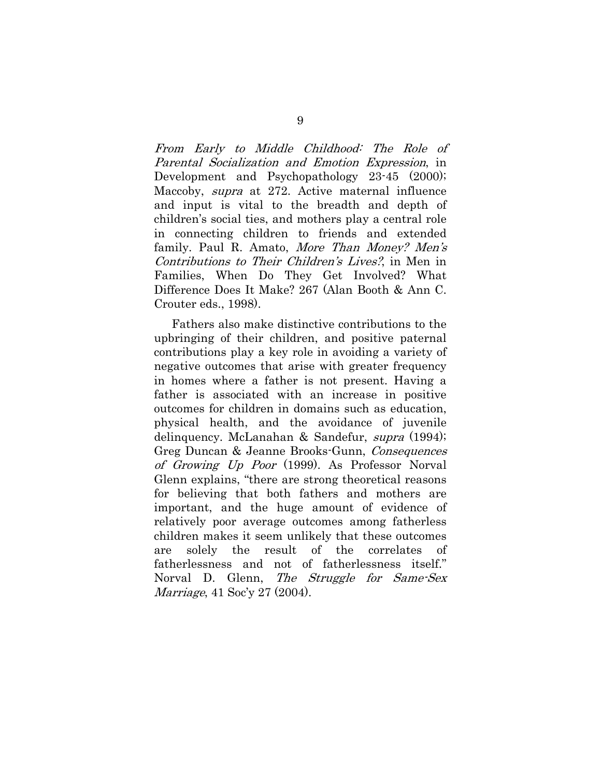From Early to Middle Childhood: The Role of Parental Socialization and Emotion Expression, in Development and Psychopathology 23-45 (2000); Maccoby, *supra* at 272. Active maternal influence and input is vital to the breadth and depth of children's social ties, and mothers play a central role in connecting children to friends and extended family. Paul R. Amato, *More Than Money? Men's* Contributions to Their Children's Lives?, in Men in Families, When Do They Get Involved? What Difference Does It Make? 267 (Alan Booth & Ann C. Crouter eds., 1998).

 Fathers also make distinctive contributions to the upbringing of their children, and positive paternal contributions play a key role in avoiding a variety of negative outcomes that arise with greater frequency in homes where a father is not present. Having a father is associated with an increase in positive outcomes for children in domains such as education, physical health, and the avoidance of juvenile delinquency. McLanahan & Sandefur, supra (1994); Greg Duncan & Jeanne Brooks-Gunn, Consequences of Growing Up Poor (1999). As Professor Norval Glenn explains, "there are strong theoretical reasons for believing that both fathers and mothers are important, and the huge amount of evidence of relatively poor average outcomes among fatherless children makes it seem unlikely that these outcomes are solely the result of the correlates of fatherlessness and not of fatherlessness itself." Norval D. Glenn, *The Struggle for Same-Sex* Marriage, 41 Soc'y 27 (2004).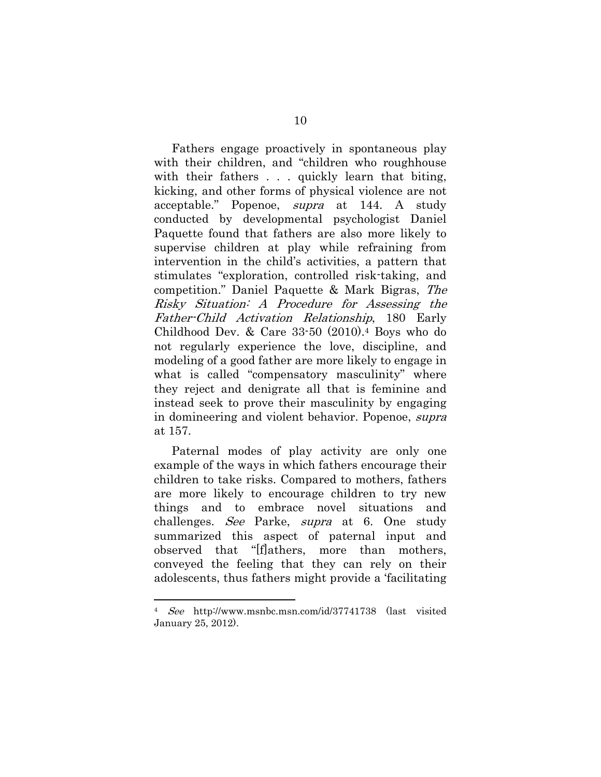Fathers engage proactively in spontaneous play with their children, and "children who roughhouse with their fathers . . . quickly learn that biting, kicking, and other forms of physical violence are not acceptable." Popenoe, supra at 144. A study conducted by developmental psychologist Daniel Paquette found that fathers are also more likely to supervise children at play while refraining from intervention in the child's activities, a pattern that stimulates "exploration, controlled risk-taking, and competition." Daniel Paquette & Mark Bigras, The Risky Situation: A Procedure for Assessing the Father-Child Activation Relationship, 180 Early Childhood Dev. & Care 33-50 (2010).4 Boys who do not regularly experience the love, discipline, and modeling of a good father are more likely to engage in what is called "compensatory masculinity" where they reject and denigrate all that is feminine and instead seek to prove their masculinity by engaging in domineering and violent behavior. Popenoe, supra at 157.

 Paternal modes of play activity are only one example of the ways in which fathers encourage their children to take risks. Compared to mothers, fathers are more likely to encourage children to try new things and to embrace novel situations and challenges. See Parke, supra at 6. One study summarized this aspect of paternal input and observed that "[f]athers, more than mothers, conveyed the feeling that they can rely on their adolescents, thus fathers might provide a 'facilitating

1

<sup>4</sup> See http://www.msnbc.msn.com/id/37741738 (last visited January 25, 2012).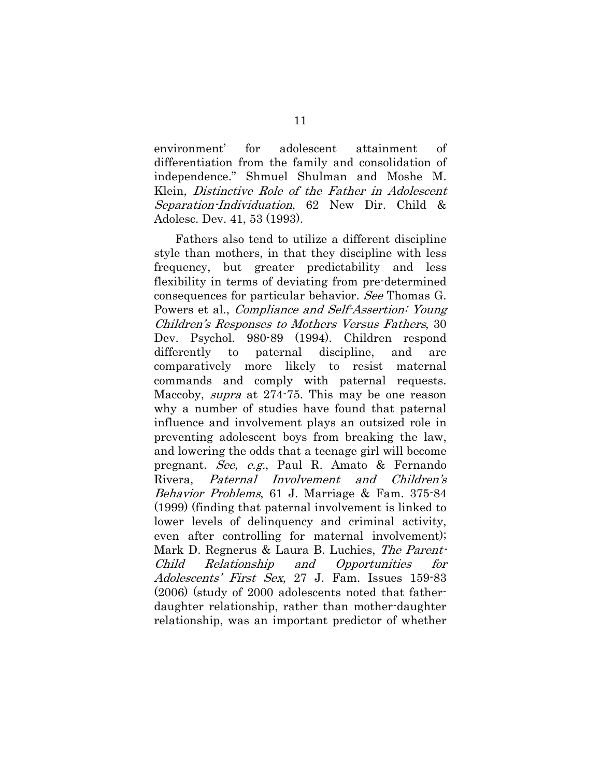environment' for adolescent attainment of differentiation from the family and consolidation of independence." Shmuel Shulman and Moshe M. Klein, Distinctive Role of the Father in Adolescent Separation-Individuation, 62 New Dir. Child & Adolesc. Dev. 41, 53 (1993).

 Fathers also tend to utilize a different discipline style than mothers, in that they discipline with less frequency, but greater predictability and less flexibility in terms of deviating from pre-determined consequences for particular behavior. See Thomas G. Powers et al., *Compliance and Self-Assertion: Young* Children's Responses to Mothers Versus Fathers, 30 Dev. Psychol. 980-89 (1994). Children respond differently to paternal discipline, and are comparatively more likely to resist maternal commands and comply with paternal requests. Maccoby, *supra* at 274-75. This may be one reason why a number of studies have found that paternal influence and involvement plays an outsized role in preventing adolescent boys from breaking the law, and lowering the odds that a teenage girl will become pregnant. See, e.g., Paul R. Amato & Fernando Rivera, Paternal Involvement and Children's Behavior Problems, 61 J. Marriage & Fam. 375-84 (1999) (finding that paternal involvement is linked to lower levels of delinquency and criminal activity, even after controlling for maternal involvement); Mark D. Regnerus & Laura B. Luchies, The Parent-Child Relationship and Opportunities for Adolescents' First Sex, 27 J. Fam. Issues 159-83 (2006) (study of 2000 adolescents noted that fatherdaughter relationship, rather than mother-daughter relationship, was an important predictor of whether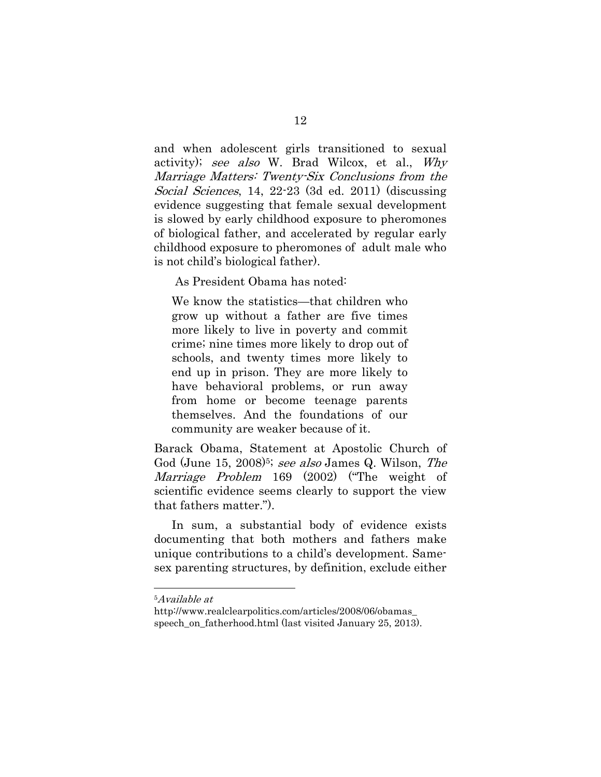and when adolescent girls transitioned to sexual activity); see also W. Brad Wilcox, et al., Why Marriage Matters: Twenty-Six Conclusions from the Social Sciences, 14, 22-23 (3d ed. 2011) (discussing evidence suggesting that female sexual development is slowed by early childhood exposure to pheromones of biological father, and accelerated by regular early childhood exposure to pheromones of adult male who is not child's biological father).

As President Obama has noted:

We know the statistics—that children who grow up without a father are five times more likely to live in poverty and commit crime; nine times more likely to drop out of schools, and twenty times more likely to end up in prison. They are more likely to have behavioral problems, or run away from home or become teenage parents themselves. And the foundations of our community are weaker because of it.

Barack Obama, Statement at Apostolic Church of God (June 15, 2008)<sup>5;</sup> see also James Q. Wilson, The Marriage Problem 169 (2002) ("The weight of scientific evidence seems clearly to support the view that fathers matter.").

 In sum, a substantial body of evidence exists documenting that both mothers and fathers make unique contributions to a child's development. Samesex parenting structures, by definition, exclude either

1

<sup>5</sup>Available at

http://www.realclearpolitics.com/articles/2008/06/obamas\_ speech\_on\_fatherhood.html (last visited January 25, 2013).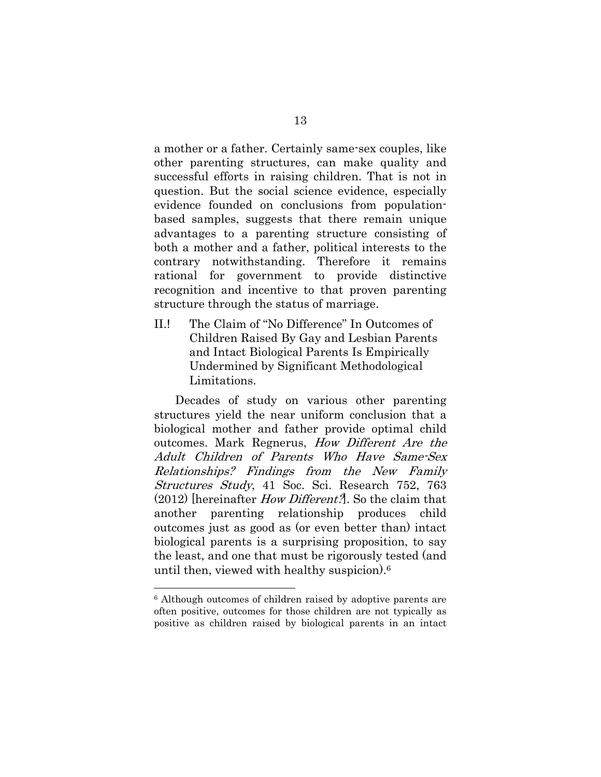a mother or a father. Certainly same-sex couples, like other parenting structures, can make quality and successful efforts in raising children. That is not in question. But the social science evidence, especially evidence founded on conclusions from populationbased samples, suggests that there remain unique advantages to a parenting structure consisting of both a mother and a father, political interests to the contrary notwithstanding. Therefore it remains rational for government to provide distinctive recognition and incentive to that proven parenting structure through the status of marriage.

II.! The Claim of "No Difference" In Outcomes of Children Raised By Gay and Lesbian Parents and Intact Biological Parents Is Empirically Undermined by Significant Methodological Limitations.

 Decades of study on various other parenting structures yield the near uniform conclusion that a biological mother and father provide optimal child outcomes. Mark Regnerus, How Different Are the Adult Children of Parents Who Have Same-Sex Relationships? Findings from the New Family Structures Study, 41 Soc. Sci. Research 752, 763 (2012) [hereinafter How Different?]. So the claim that another parenting relationship produces child outcomes just as good as (or even better than) intact biological parents is a surprising proposition, to say the least, and one that must be rigorously tested (and until then, viewed with healthy suspicion).6

1

<sup>6</sup> Although outcomes of children raised by adoptive parents are often positive, outcomes for those children are not typically as positive as children raised by biological parents in an intact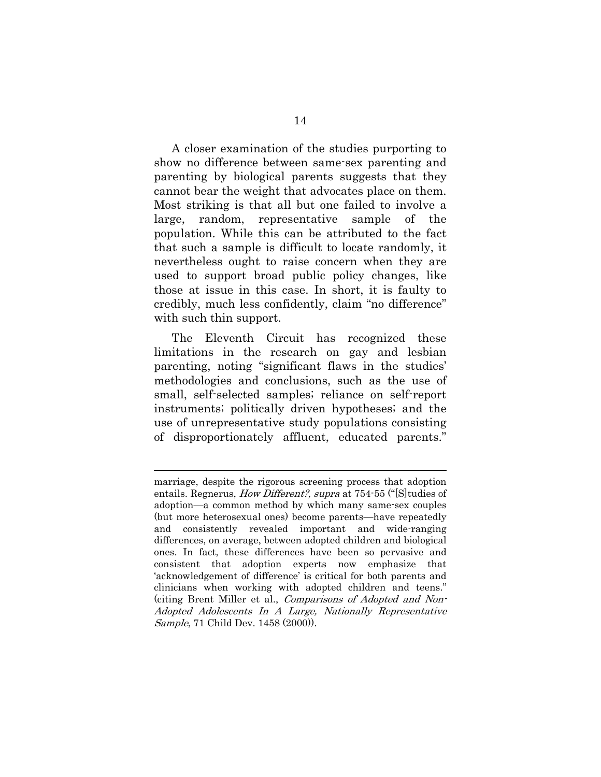A closer examination of the studies purporting to show no difference between same-sex parenting and parenting by biological parents suggests that they cannot bear the weight that advocates place on them. Most striking is that all but one failed to involve a large, random, representative sample of the population. While this can be attributed to the fact that such a sample is difficult to locate randomly, it nevertheless ought to raise concern when they are used to support broad public policy changes, like those at issue in this case. In short, it is faulty to credibly, much less confidently, claim "no difference" with such thin support.

The Eleventh Circuit has recognized these limitations in the research on gay and lesbian parenting, noting "significant flaws in the studies' methodologies and conclusions, such as the use of small, self-selected samples; reliance on self-report instruments; politically driven hypotheses; and the use of unrepresentative study populations consisting of disproportionately affluent, educated parents."

l

marriage, despite the rigorous screening process that adoption entails. Regnerus, *How Different?, supra* at 754-55 ("[S] tudies of adoption—a common method by which many same-sex couples (but more heterosexual ones) become parents—have repeatedly and consistently revealed important and wide-ranging differences, on average, between adopted children and biological ones. In fact, these differences have been so pervasive and consistent that adoption experts now emphasize that 'acknowledgement of difference' is critical for both parents and clinicians when working with adopted children and teens." (citing Brent Miller et al., Comparisons of Adopted and Non-Adopted Adolescents In A Large, Nationally Representative Sample, 71 Child Dev. 1458 (2000)).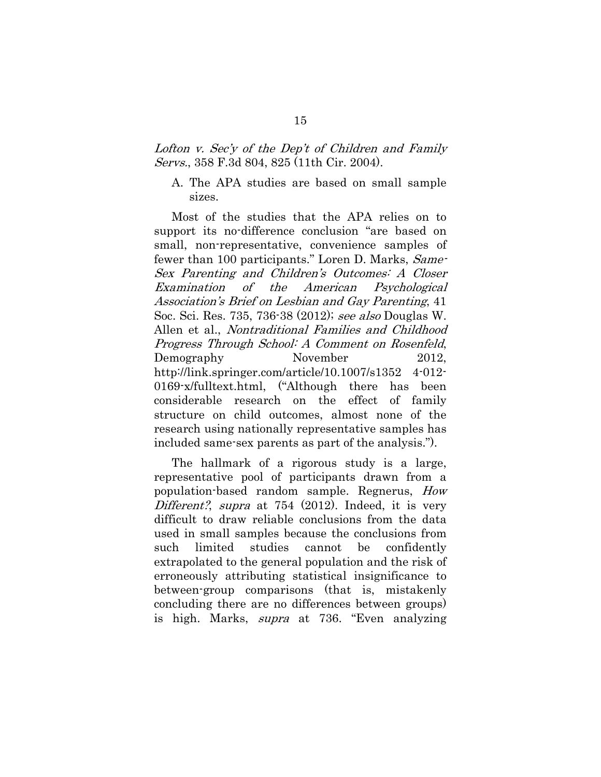### Lofton v. Sec'y of the Dep't of Children and Family Servs., 358 F.3d 804, 825 (11th Cir. 2004).

### A. The APA studies are based on small sample sizes.

Most of the studies that the APA relies on to support its no-difference conclusion "are based on small, non-representative, convenience samples of fewer than 100 participants." Loren D. Marks, *Same*-Sex Parenting and Children's Outcomes: A Closer Examination of the American Psychological Association's Brief on Lesbian and Gay Parenting, 41 Soc. Sci. Res. 735, 736-38 (2012); see also Douglas W. Allen et al., Nontraditional Families and Childhood Progress Through School: A Comment on Rosenfeld, Demography November 2012, http://link.springer.com/article/10.1007/s1352 4-012- 0169-x/fulltext.html, ("Although there has been considerable research on the effect of family structure on child outcomes, almost none of the research using nationally representative samples has included same-sex parents as part of the analysis.").

The hallmark of a rigorous study is a large, representative pool of participants drawn from a population-based random sample. Regnerus, How Different?, supra at 754 (2012). Indeed, it is very difficult to draw reliable conclusions from the data used in small samples because the conclusions from such limited studies cannot be confidently extrapolated to the general population and the risk of erroneously attributing statistical insignificance to between-group comparisons (that is, mistakenly concluding there are no differences between groups) is high. Marks, supra at 736. "Even analyzing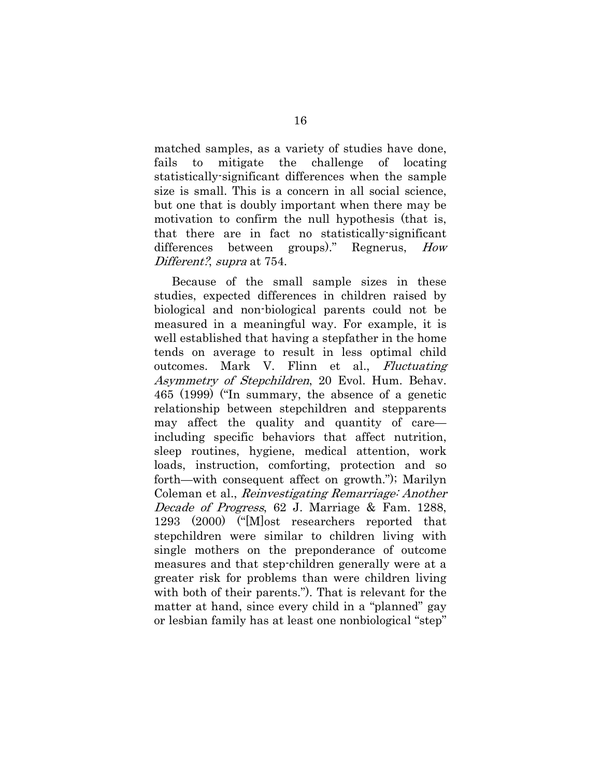matched samples, as a variety of studies have done, fails to mitigate the challenge of locating statistically-significant differences when the sample size is small. This is a concern in all social science, but one that is doubly important when there may be motivation to confirm the null hypothesis (that is, that there are in fact no statistically-significant differences between groups)." Regnerus, How Different?, *supra* at 754.

Because of the small sample sizes in these studies, expected differences in children raised by biological and non-biological parents could not be measured in a meaningful way. For example, it is well established that having a stepfather in the home tends on average to result in less optimal child outcomes. Mark V. Flinn et al., Fluctuating Asymmetry of Stepchildren, 20 Evol. Hum. Behav. 465 (1999) ("In summary, the absence of a genetic relationship between stepchildren and stepparents may affect the quality and quantity of care including specific behaviors that affect nutrition, sleep routines, hygiene, medical attention, work loads, instruction, comforting, protection and so forth—with consequent affect on growth."); Marilyn Coleman et al., Reinvestigating Remarriage: Another Decade of Progress, 62 J. Marriage & Fam. 1288, 1293 (2000) ("[M]ost researchers reported that stepchildren were similar to children living with single mothers on the preponderance of outcome measures and that step-children generally were at a greater risk for problems than were children living with both of their parents."). That is relevant for the matter at hand, since every child in a "planned" gay or lesbian family has at least one nonbiological "step"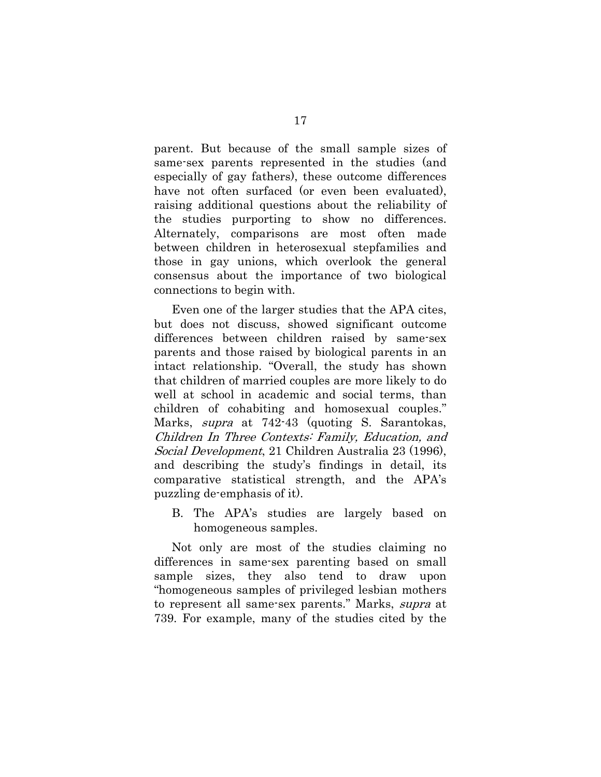parent. But because of the small sample sizes of same-sex parents represented in the studies (and especially of gay fathers), these outcome differences have not often surfaced (or even been evaluated). raising additional questions about the reliability of the studies purporting to show no differences. Alternately, comparisons are most often made between children in heterosexual stepfamilies and those in gay unions, which overlook the general consensus about the importance of two biological connections to begin with.

Even one of the larger studies that the APA cites, but does not discuss, showed significant outcome differences between children raised by same-sex parents and those raised by biological parents in an intact relationship. "Overall, the study has shown that children of married couples are more likely to do well at school in academic and social terms, than children of cohabiting and homosexual couples." Marks, *supra* at 742-43 (quoting S. Sarantokas, Children In Three Contexts: Family, Education, and Social Development, 21 Children Australia 23 (1996), and describing the study's findings in detail, its comparative statistical strength, and the APA's puzzling de-emphasis of it).

B. The APA's studies are largely based on homogeneous samples.

Not only are most of the studies claiming no differences in same-sex parenting based on small sample sizes, they also tend to draw upon "homogeneous samples of privileged lesbian mothers to represent all same-sex parents." Marks, *supra* at 739. For example, many of the studies cited by the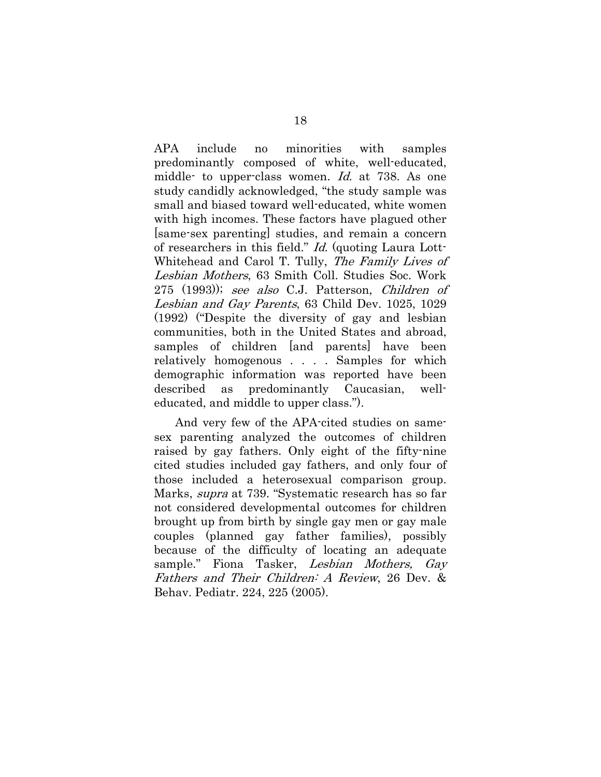APA include no minorities with samples predominantly composed of white, well-educated, middle- to upper-class women. Id. at 738. As one study candidly acknowledged, "the study sample was small and biased toward well-educated, white women with high incomes. These factors have plagued other [same-sex parenting] studies, and remain a concern of researchers in this field." *Id.* (quoting Laura Lott-Whitehead and Carol T. Tully, The Family Lives of Lesbian Mothers, 63 Smith Coll. Studies Soc. Work 275 (1993)); see also C.J. Patterson, Children of Lesbian and Gay Parents, 63 Child Dev. 1025, 1029 (1992) ("Despite the diversity of gay and lesbian communities, both in the United States and abroad, samples of children [and parents] have been relatively homogenous . . . . Samples for which demographic information was reported have been described as predominantly Caucasian, welleducated, and middle to upper class.").

 And very few of the APA-cited studies on samesex parenting analyzed the outcomes of children raised by gay fathers. Only eight of the fifty-nine cited studies included gay fathers, and only four of those included a heterosexual comparison group. Marks, supra at 739. "Systematic research has so far not considered developmental outcomes for children brought up from birth by single gay men or gay male couples (planned gay father families), possibly because of the difficulty of locating an adequate sample." Fiona Tasker, Lesbian Mothers, Gay Fathers and Their Children: A Review, 26 Dev. & Behav. Pediatr. 224, 225 (2005).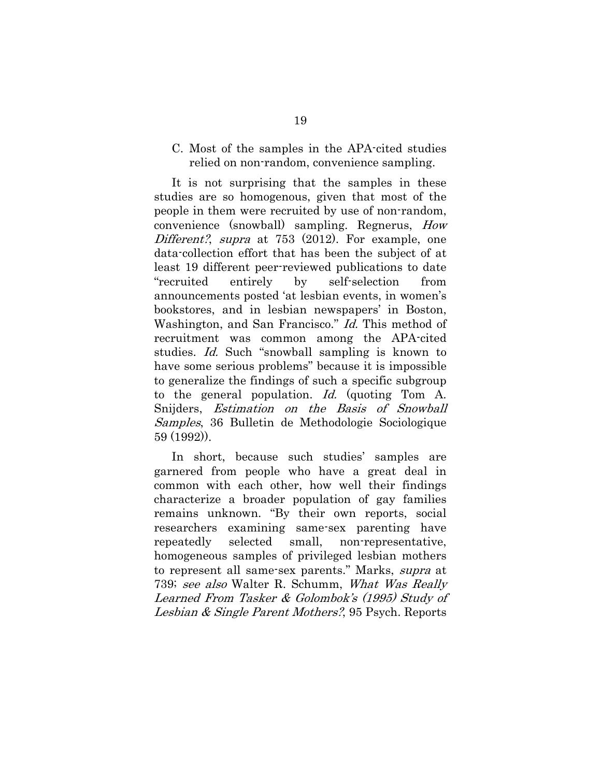### C. Most of the samples in the APA-cited studies relied on non-random, convenience sampling.

It is not surprising that the samples in these studies are so homogenous, given that most of the people in them were recruited by use of non-random, convenience (snowball) sampling. Regnerus, How Different?, supra at 753 (2012). For example, one data-collection effort that has been the subject of at least 19 different peer-reviewed publications to date "recruited entirely by self-selection from announcements posted 'at lesbian events, in women's bookstores, and in lesbian newspapers' in Boston, Washington, and San Francisco." *Id.* This method of recruitment was common among the APA-cited studies. Id. Such "snowball sampling is known to have some serious problems" because it is impossible to generalize the findings of such a specific subgroup to the general population. Id. (quoting Tom A. Snijders, Estimation on the Basis of Snowball Samples, 36 Bulletin de Methodologie Sociologique 59 (1992)).

In short, because such studies' samples are garnered from people who have a great deal in common with each other, how well their findings characterize a broader population of gay families remains unknown. "By their own reports, social researchers examining same-sex parenting have repeatedly selected small, non-representative, homogeneous samples of privileged lesbian mothers to represent all same-sex parents." Marks, supra at 739; see also Walter R. Schumm, What Was Really Learned From Tasker & Golombok's (1995) Study of Lesbian & Single Parent Mothers?, 95 Psych. Reports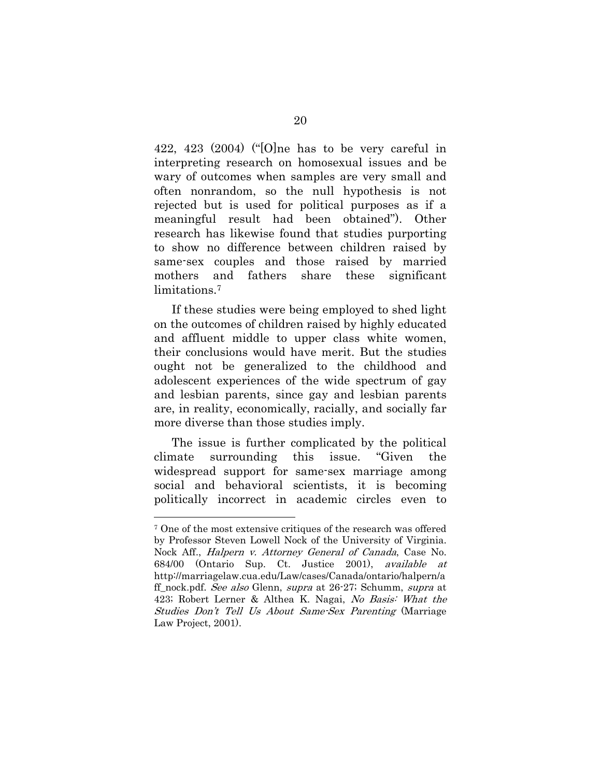422, 423 (2004) ("[O]ne has to be very careful in interpreting research on homosexual issues and be wary of outcomes when samples are very small and often nonrandom, so the null hypothesis is not rejected but is used for political purposes as if a meaningful result had been obtained"). Other research has likewise found that studies purporting to show no difference between children raised by same-sex couples and those raised by married mothers and fathers share these significant limitations.<sup>7</sup>

If these studies were being employed to shed light on the outcomes of children raised by highly educated and affluent middle to upper class white women, their conclusions would have merit. But the studies ought not be generalized to the childhood and adolescent experiences of the wide spectrum of gay and lesbian parents, since gay and lesbian parents are, in reality, economically, racially, and socially far more diverse than those studies imply.

The issue is further complicated by the political climate surrounding this issue. "Given the widespread support for same-sex marriage among social and behavioral scientists, it is becoming politically incorrect in academic circles even to

1

<sup>7</sup> One of the most extensive critiques of the research was offered by Professor Steven Lowell Nock of the University of Virginia. Nock Aff., Halpern v. Attorney General of Canada, Case No. 684/00 (Ontario Sup. Ct. Justice 2001), available at http://marriagelaw.cua.edu/Law/cases/Canada/ontario/halpern/a ff nock.pdf. See also Glenn, supra at 26-27; Schumm, supra at 423; Robert Lerner & Althea K. Nagai, No Basis: What the Studies Don't Tell Us About Same-Sex Parenting (Marriage Law Project, 2001).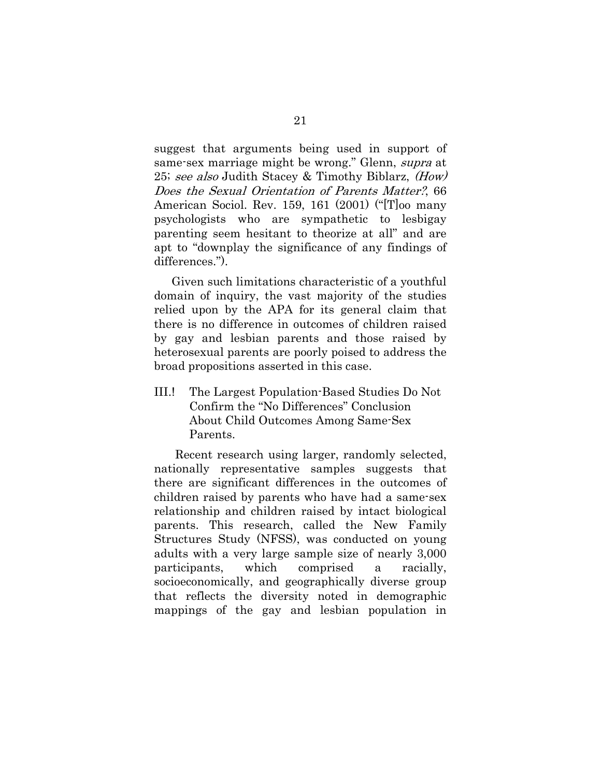suggest that arguments being used in support of same-sex marriage might be wrong." Glenn, *supra* at 25; see also Judith Stacey & Timothy Biblarz, (How) Does the Sexual Orientation of Parents Matter?, 66 American Sociol. Rev. 159, 161 (2001) ("[T]oo many psychologists who are sympathetic to lesbigay parenting seem hesitant to theorize at all" and are apt to "downplay the significance of any findings of differences.").

Given such limitations characteristic of a youthful domain of inquiry, the vast majority of the studies relied upon by the APA for its general claim that there is no difference in outcomes of children raised by gay and lesbian parents and those raised by heterosexual parents are poorly poised to address the broad propositions asserted in this case.

III.! The Largest Population-Based Studies Do Not Confirm the "No Differences" Conclusion About Child Outcomes Among Same-Sex Parents.

 Recent research using larger, randomly selected, nationally representative samples suggests that there are significant differences in the outcomes of children raised by parents who have had a same-sex relationship and children raised by intact biological parents. This research, called the New Family Structures Study (NFSS), was conducted on young adults with a very large sample size of nearly 3,000 participants, which comprised a racially, socioeconomically, and geographically diverse group that reflects the diversity noted in demographic mappings of the gay and lesbian population in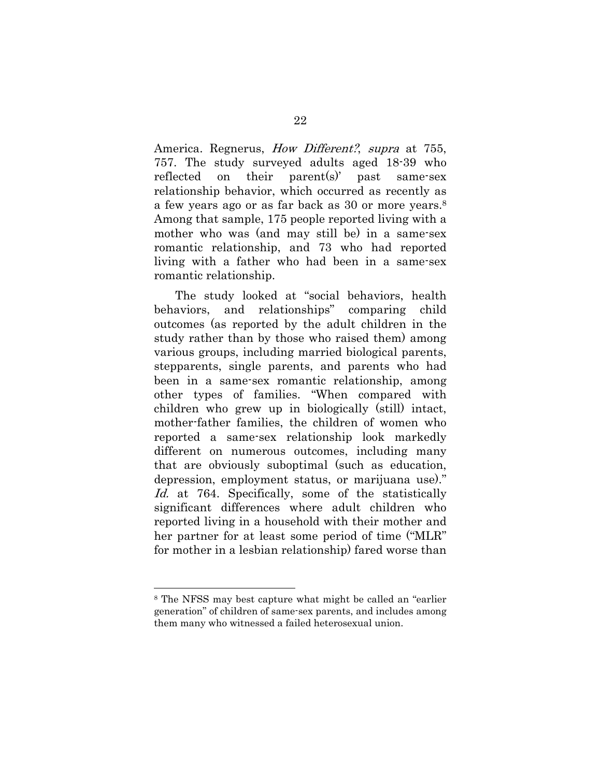America. Regnerus, *How Different?*, *supra* at 755, 757. The study surveyed adults aged 18-39 who reflected on their parent(s)' past same-sex relationship behavior, which occurred as recently as a few years ago or as far back as 30 or more years.8 Among that sample, 175 people reported living with a mother who was (and may still be) in a same-sex romantic relationship, and 73 who had reported living with a father who had been in a same-sex romantic relationship.

 The study looked at "social behaviors, health behaviors, and relationships" comparing child outcomes (as reported by the adult children in the study rather than by those who raised them) among various groups, including married biological parents, stepparents, single parents, and parents who had been in a same-sex romantic relationship, among other types of families. "When compared with children who grew up in biologically (still) intact, mother-father families, the children of women who reported a same-sex relationship look markedly different on numerous outcomes, including many that are obviously suboptimal (such as education, depression, employment status, or marijuana use)." Id. at 764. Specifically, some of the statistically significant differences where adult children who reported living in a household with their mother and her partner for at least some period of time ("MLR" for mother in a lesbian relationship) fared worse than

1

<sup>8</sup> The NFSS may best capture what might be called an "earlier generation" of children of same-sex parents, and includes among them many who witnessed a failed heterosexual union.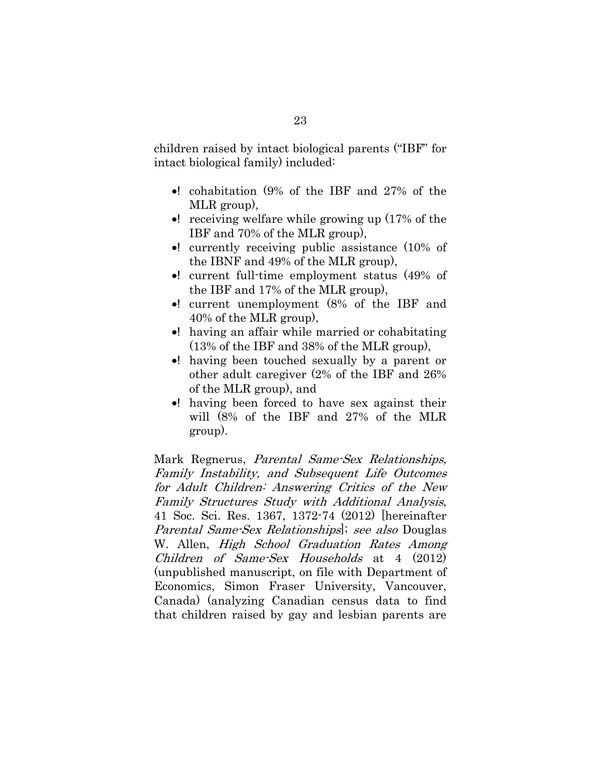children raised by intact biological parents ("IBF" for intact biological family) included:

- $\bullet$ ! cohabitation (9% of the IBF and 27% of the MLR group),
- $\bullet$ ! receiving welfare while growing up (17% of the IBF and 70% of the MLR group),
- $\bullet!$  currently receiving public assistance (10% of the IBNF and 49% of the MLR group),
- $\bullet!$  current full-time employment status (49% of the IBF and 17% of the MLR group),
- x! current unemployment (8% of the IBF and 40% of the MLR group),
- x! having an affair while married or cohabitating (13% of the IBF and 38% of the MLR group),
- x! having been touched sexually by a parent or other adult caregiver (2% of the IBF and 26% of the MLR group), and
- x! having been forced to have sex against their will (8% of the IBF and 27% of the MLR group).

Mark Regnerus, *Parental Same-Sex Relationships*, Family Instability, and Subsequent Life Outcomes for Adult Children: Answering Critics of the New Family Structures Study with Additional Analysis, 41 Soc. Sci. Res. 1367, 1372-74 (2012) [hereinafter Parental Same-Sex Relationships]; see also Douglas W. Allen, *High School Graduation Rates Among* Children of Same-Sex Households at 4 (2012) (unpublished manuscript, on file with Department of Economics, Simon Fraser University, Vancouver, Canada) (analyzing Canadian census data to find that children raised by gay and lesbian parents are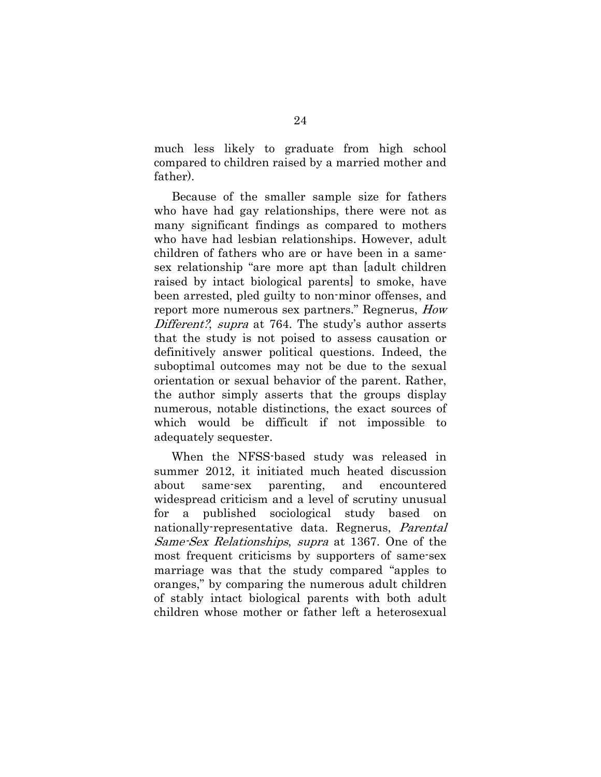much less likely to graduate from high school compared to children raised by a married mother and father).

 Because of the smaller sample size for fathers who have had gay relationships, there were not as many significant findings as compared to mothers who have had lesbian relationships. However, adult children of fathers who are or have been in a samesex relationship "are more apt than [adult children raised by intact biological parents] to smoke, have been arrested, pled guilty to non-minor offenses, and report more numerous sex partners." Regnerus, How Different?, supra at 764. The study's author asserts that the study is not poised to assess causation or definitively answer political questions. Indeed, the suboptimal outcomes may not be due to the sexual orientation or sexual behavior of the parent. Rather, the author simply asserts that the groups display numerous, notable distinctions, the exact sources of which would be difficult if not impossible to adequately sequester.

 When the NFSS-based study was released in summer 2012, it initiated much heated discussion about same-sex parenting, and encountered widespread criticism and a level of scrutiny unusual for a published sociological study based on nationally-representative data. Regnerus, *Parental* Same-Sex Relationships, supra at 1367. One of the most frequent criticisms by supporters of same-sex marriage was that the study compared "apples to oranges," by comparing the numerous adult children of stably intact biological parents with both adult children whose mother or father left a heterosexual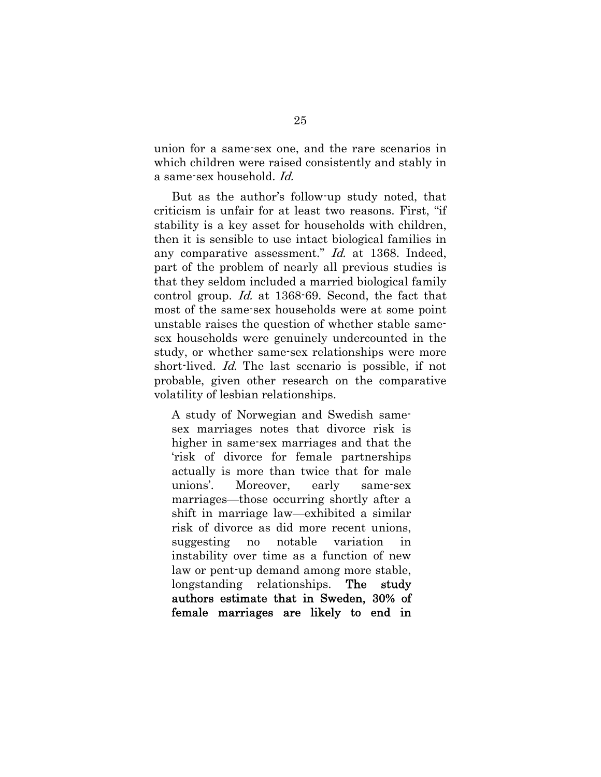union for a same-sex one, and the rare scenarios in which children were raised consistently and stably in a same-sex household. Id.

 But as the author's follow-up study noted, that criticism is unfair for at least two reasons. First, "if stability is a key asset for households with children, then it is sensible to use intact biological families in any comparative assessment." Id. at 1368. Indeed, part of the problem of nearly all previous studies is that they seldom included a married biological family control group. Id. at 1368-69. Second, the fact that most of the same-sex households were at some point unstable raises the question of whether stable samesex households were genuinely undercounted in the study, or whether same-sex relationships were more short-lived. *Id.* The last scenario is possible, if not probable, given other research on the comparative volatility of lesbian relationships.

A study of Norwegian and Swedish samesex marriages notes that divorce risk is higher in same-sex marriages and that the 'risk of divorce for female partnerships actually is more than twice that for male unions'. Moreover, early same-sex marriages—those occurring shortly after a shift in marriage law—exhibited a similar risk of divorce as did more recent unions, suggesting no notable variation in instability over time as a function of new law or pent-up demand among more stable, longstanding relationships. The study authors estimate that in Sweden, 30% of female marriages are likely to end in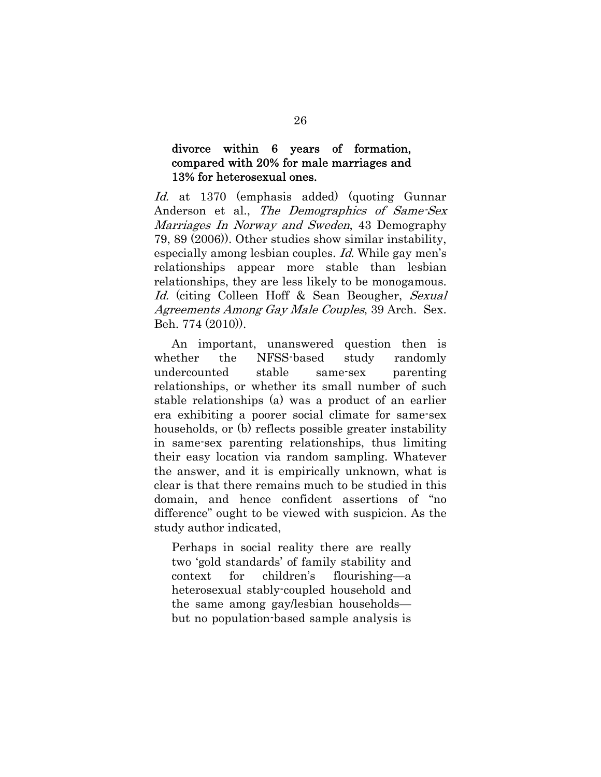### divorce within 6 years of formation, compared with 20% for male marriages and 13% for heterosexual ones.

Id. at 1370 (emphasis added) (quoting Gunnar Anderson et al., The Demographics of Same-Sex Marriages In Norway and Sweden, 43 Demography 79, 89 (2006)). Other studies show similar instability, especially among lesbian couples. Id. While gay men's relationships appear more stable than lesbian relationships, they are less likely to be monogamous. Id. (citing Colleen Hoff & Sean Beougher, Sexual Agreements Among Gay Male Couples, 39 Arch. Sex. Beh. 774 (2010)).

 An important, unanswered question then is whether the NFSS-based study randomly undercounted stable same-sex parenting relationships, or whether its small number of such stable relationships (a) was a product of an earlier era exhibiting a poorer social climate for same-sex households, or (b) reflects possible greater instability in same-sex parenting relationships, thus limiting their easy location via random sampling. Whatever the answer, and it is empirically unknown, what is clear is that there remains much to be studied in this domain, and hence confident assertions of "no difference" ought to be viewed with suspicion. As the study author indicated,

Perhaps in social reality there are really two 'gold standards' of family stability and context for children's flourishing—a heterosexual stably-coupled household and the same among gay/lesbian households but no population-based sample analysis is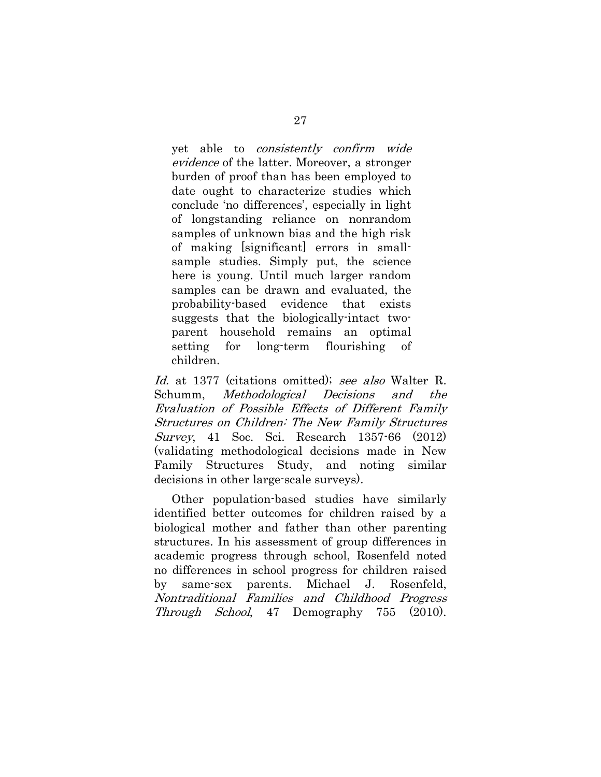yet able to consistently confirm wide evidence of the latter. Moreover, a stronger burden of proof than has been employed to date ought to characterize studies which conclude 'no differences', especially in light of longstanding reliance on nonrandom samples of unknown bias and the high risk of making [significant] errors in smallsample studies. Simply put, the science here is young. Until much larger random samples can be drawn and evaluated, the probability-based evidence that exists suggests that the biologically-intact twoparent household remains an optimal setting for long-term flourishing of children.

Id. at 1377 (citations omitted); see also Walter R. Schumm, Methodological Decisions and the Evaluation of Possible Effects of Different Family Structures on Children: The New Family Structures Survey, 41 Soc. Sci. Research 1357-66 (2012) (validating methodological decisions made in New Family Structures Study, and noting similar decisions in other large-scale surveys).

Other population-based studies have similarly identified better outcomes for children raised by a biological mother and father than other parenting structures. In his assessment of group differences in academic progress through school, Rosenfeld noted no differences in school progress for children raised by same-sex parents. Michael J. Rosenfeld, Nontraditional Families and Childhood Progress Through School, 47 Demography 755 (2010).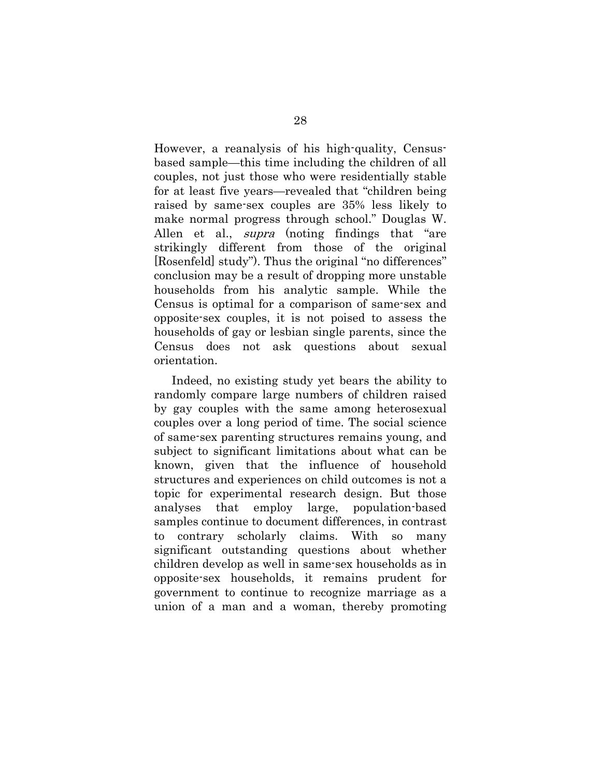However, a reanalysis of his high-quality, Censusbased sample—this time including the children of all couples, not just those who were residentially stable for at least five years—revealed that "children being raised by same-sex couples are 35% less likely to make normal progress through school." Douglas W. Allen et al., *supra* (noting findings that "are strikingly different from those of the original [Rosenfeld] study"). Thus the original "no differences" conclusion may be a result of dropping more unstable households from his analytic sample. While the Census is optimal for a comparison of same-sex and opposite-sex couples, it is not poised to assess the households of gay or lesbian single parents, since the Census does not ask questions about sexual orientation.

 Indeed, no existing study yet bears the ability to randomly compare large numbers of children raised by gay couples with the same among heterosexual couples over a long period of time. The social science of same-sex parenting structures remains young, and subject to significant limitations about what can be known, given that the influence of household structures and experiences on child outcomes is not a topic for experimental research design. But those analyses that employ large, population-based samples continue to document differences, in contrast to contrary scholarly claims. With so many significant outstanding questions about whether children develop as well in same-sex households as in opposite-sex households, it remains prudent for government to continue to recognize marriage as a union of a man and a woman, thereby promoting